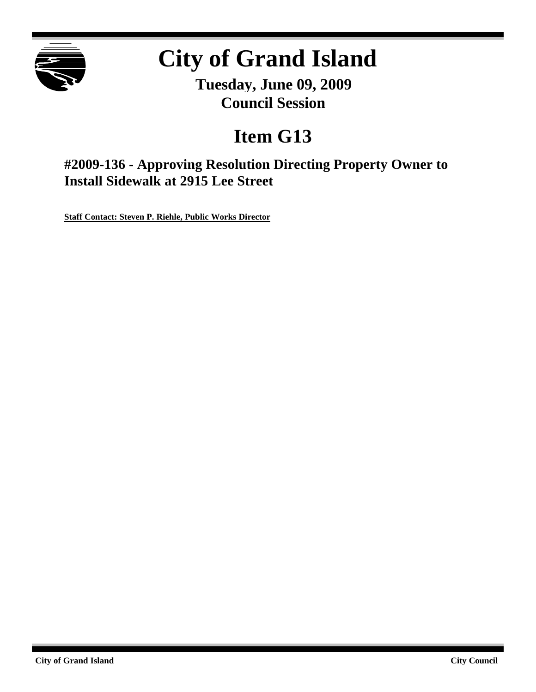

# **City of Grand Island**

**Tuesday, June 09, 2009 Council Session**

## **Item G13**

**#2009-136 - Approving Resolution Directing Property Owner to Install Sidewalk at 2915 Lee Street**

**Staff Contact: Steven P. Riehle, Public Works Director**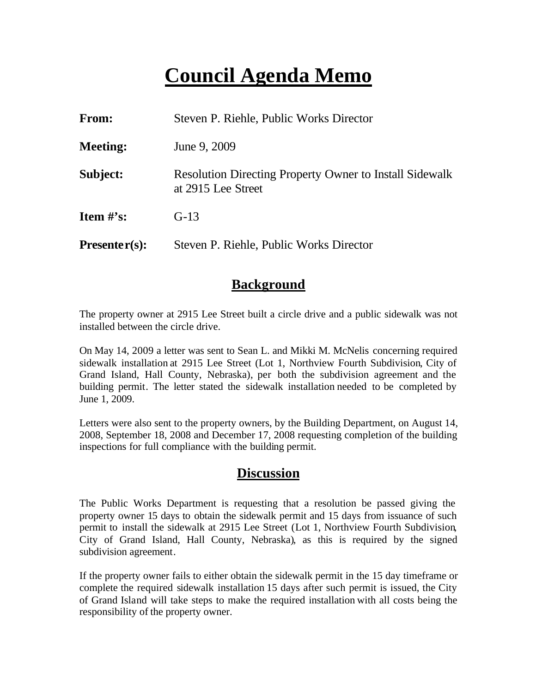### **Council Agenda Memo**

| <b>From:</b>                   | Steven P. Riehle, Public Works Director                                              |
|--------------------------------|--------------------------------------------------------------------------------------|
| <b>Meeting:</b>                | June 9, 2009                                                                         |
| Subject:                       | <b>Resolution Directing Property Owner to Install Sidewalk</b><br>at 2915 Lee Street |
| <b>Item <math>\#</math>'s:</b> | $G-13$                                                                               |
| $Presenter(s):$                | Steven P. Riehle, Public Works Director                                              |

#### **Background**

The property owner at 2915 Lee Street built a circle drive and a public sidewalk was not installed between the circle drive.

On May 14, 2009 a letter was sent to Sean L. and Mikki M. McNelis concerning required sidewalk installation at 2915 Lee Street (Lot 1, Northview Fourth Subdivision, City of Grand Island, Hall County, Nebraska), per both the subdivision agreement and the building permit. The letter stated the sidewalk installation needed to be completed by June 1, 2009.

Letters were also sent to the property owners, by the Building Department, on August 14, 2008, September 18, 2008 and December 17, 2008 requesting completion of the building inspections for full compliance with the building permit.

#### **Discussion**

The Public Works Department is requesting that a resolution be passed giving the property owner 15 days to obtain the sidewalk permit and 15 days from issuance of such permit to install the sidewalk at 2915 Lee Street (Lot 1, Northview Fourth Subdivision, City of Grand Island, Hall County, Nebraska), as this is required by the signed subdivision agreement.

If the property owner fails to either obtain the sidewalk permit in the 15 day timeframe or complete the required sidewalk installation 15 days after such permit is issued, the City of Grand Island will take steps to make the required installation with all costs being the responsibility of the property owner.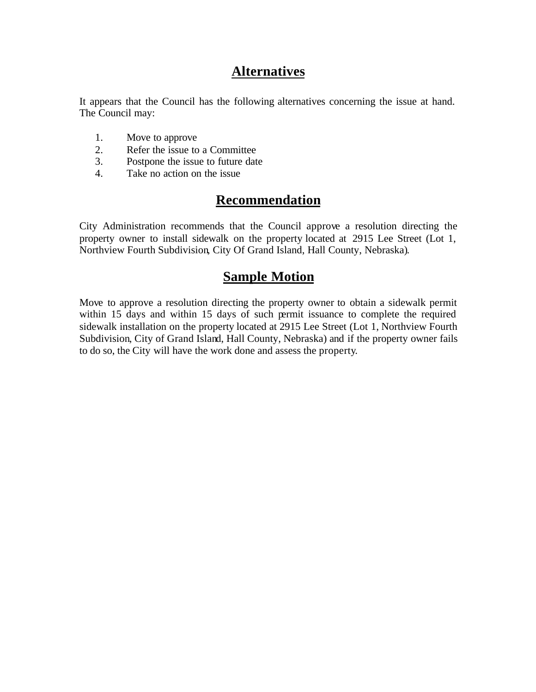### **Alternatives**

It appears that the Council has the following alternatives concerning the issue at hand. The Council may:

- 1. Move to approve
- 2. Refer the issue to a Committee
- 3. Postpone the issue to future date
- 4. Take no action on the issue

#### **Recommendation**

City Administration recommends that the Council approve a resolution directing the property owner to install sidewalk on the property located at 2915 Lee Street (Lot 1, Northview Fourth Subdivision, City Of Grand Island, Hall County, Nebraska).

#### **Sample Motion**

Move to approve a resolution directing the property owner to obtain a sidewalk permit within 15 days and within 15 days of such permit issuance to complete the required sidewalk installation on the property located at 2915 Lee Street (Lot 1, Northview Fourth Subdivision, City of Grand Island, Hall County, Nebraska) and if the property owner fails to do so, the City will have the work done and assess the property.